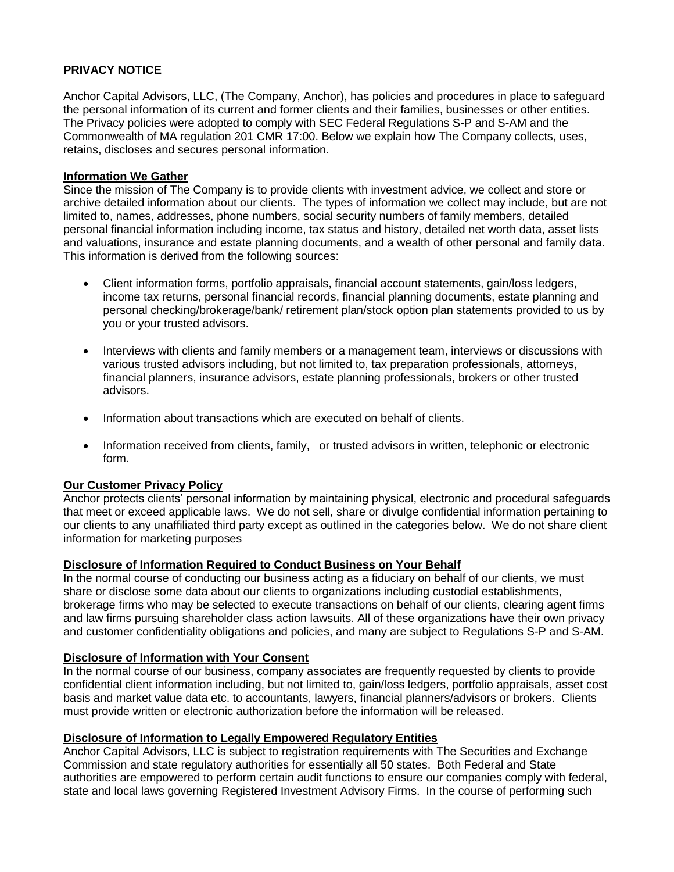# **PRIVACY NOTICE**

Anchor Capital Advisors, LLC, (The Company, Anchor), has policies and procedures in place to safeguard the personal information of its current and former clients and their families, businesses or other entities. The Privacy policies were adopted to comply with SEC Federal Regulations S-P and S-AM and the Commonwealth of MA regulation 201 CMR 17:00. Below we explain how The Company collects, uses, retains, discloses and secures personal information.

## **Information We Gather**

Since the mission of The Company is to provide clients with investment advice, we collect and store or archive detailed information about our clients. The types of information we collect may include, but are not limited to, names, addresses, phone numbers, social security numbers of family members, detailed personal financial information including income, tax status and history, detailed net worth data, asset lists and valuations, insurance and estate planning documents, and a wealth of other personal and family data. This information is derived from the following sources:

- Client information forms, portfolio appraisals, financial account statements, gain/loss ledgers, income tax returns, personal financial records, financial planning documents, estate planning and personal checking/brokerage/bank/ retirement plan/stock option plan statements provided to us by you or your trusted advisors.
- Interviews with clients and family members or a management team, interviews or discussions with various trusted advisors including, but not limited to, tax preparation professionals, attorneys, financial planners, insurance advisors, estate planning professionals, brokers or other trusted advisors.
- Information about transactions which are executed on behalf of clients.
- Information received from clients, family, or trusted advisors in written, telephonic or electronic form.

## **Our Customer Privacy Policy**

Anchor protects clients' personal information by maintaining physical, electronic and procedural safeguards that meet or exceed applicable laws. We do not sell, share or divulge confidential information pertaining to our clients to any unaffiliated third party except as outlined in the categories below. We do not share client information for marketing purposes

## **Disclosure of Information Required to Conduct Business on Your Behalf**

In the normal course of conducting our business acting as a fiduciary on behalf of our clients, we must share or disclose some data about our clients to organizations including custodial establishments, brokerage firms who may be selected to execute transactions on behalf of our clients, clearing agent firms and law firms pursuing shareholder class action lawsuits. All of these organizations have their own privacy and customer confidentiality obligations and policies, and many are subject to Regulations S-P and S-AM.

## **Disclosure of Information with Your Consent**

In the normal course of our business, company associates are frequently requested by clients to provide confidential client information including, but not limited to, gain/loss ledgers, portfolio appraisals, asset cost basis and market value data etc. to accountants, lawyers, financial planners/advisors or brokers. Clients must provide written or electronic authorization before the information will be released.

## **Disclosure of Information to Legally Empowered Regulatory Entities**

Anchor Capital Advisors, LLC is subject to registration requirements with The Securities and Exchange Commission and state regulatory authorities for essentially all 50 states. Both Federal and State authorities are empowered to perform certain audit functions to ensure our companies comply with federal, state and local laws governing Registered Investment Advisory Firms. In the course of performing such